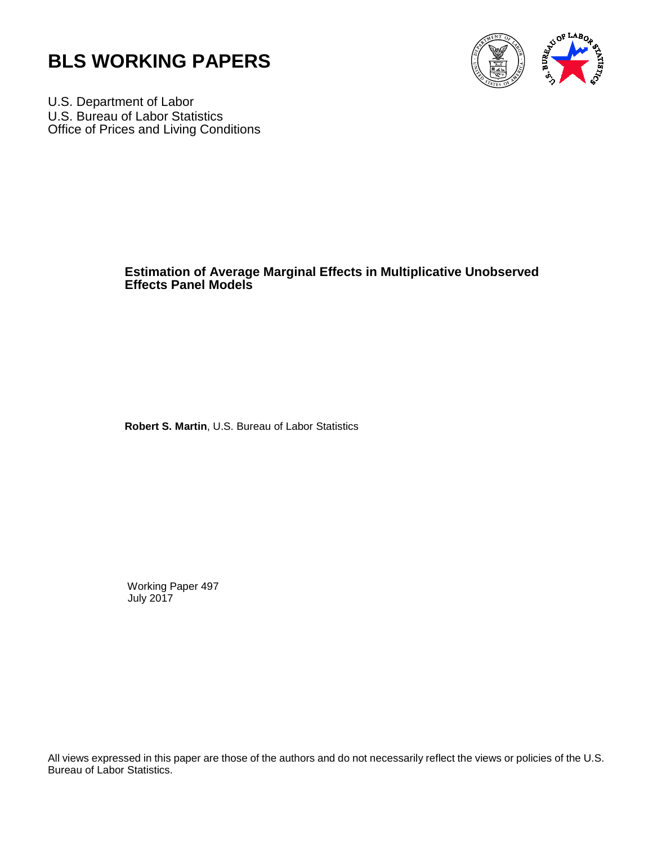



U.S. Department of Labor U.S. Bureau of Labor Statistics Office of Prices and Living Conditions

## **Estimation of Average Marginal Effects in Multiplicative Unobserved Effects Panel Models**

 **Robert S. Martin**, U.S. Bureau of Labor Statistics

Working Paper 497 July 2017

All views expressed in this paper are those of the authors and do not necessarily reflect the views or policies of the U.S. Bureau of Labor Statistics.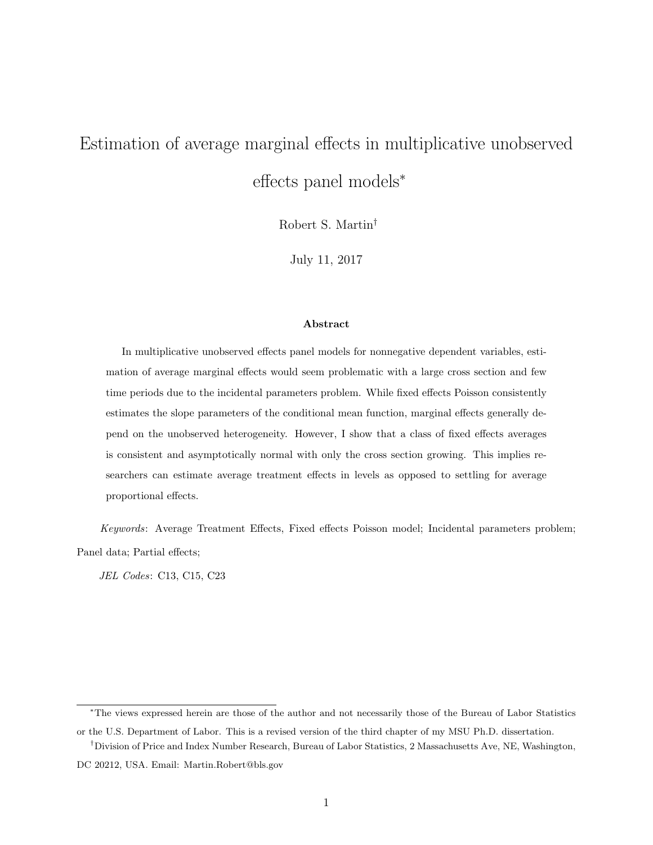# Estimation of average marginal effects in multiplicative unobserved effects panel models<sup>∗</sup>

Robert S. Martin†

July 11, 2017

#### Abstract

In multiplicative unobserved effects panel models for nonnegative dependent variables, estimation of average marginal effects would seem problematic with a large cross section and few time periods due to the incidental parameters problem. While fixed effects Poisson consistently estimates the slope parameters of the conditional mean function, marginal effects generally depend on the unobserved heterogeneity. However, I show that a class of fixed effects averages is consistent and asymptotically normal with only the cross section growing. This implies researchers can estimate average treatment effects in levels as opposed to settling for average proportional effects.

Keywords: Average Treatment Effects, Fixed effects Poisson model; Incidental parameters problem; Panel data; Partial effects;

JEL Codes: C13, C15, C23

<sup>∗</sup>The views expressed herein are those of the author and not necessarily those of the Bureau of Labor Statistics or the U.S. Department of Labor. This is a revised version of the third chapter of my MSU Ph.D. dissertation.

<sup>†</sup>Division of Price and Index Number Research, Bureau of Labor Statistics, 2 Massachusetts Ave, NE, Washington,

DC 20212, USA. Email: Martin.Robert@bls.gov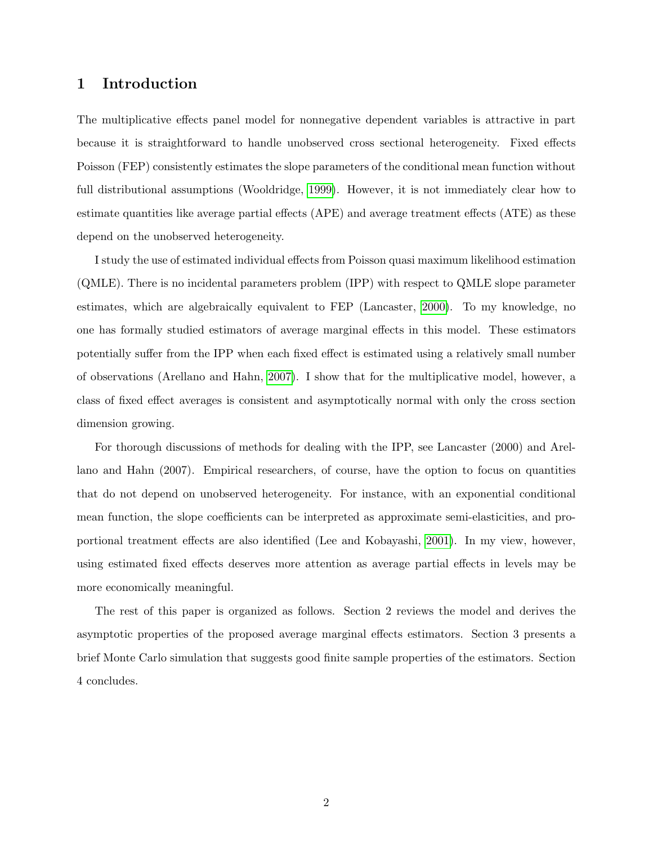## 1 Introduction

The multiplicative effects panel model for nonnegative dependent variables is attractive in part because it is straightforward to handle unobserved cross sectional heterogeneity. Fixed effects Poisson (FEP) consistently estimates the slope parameters of the conditional mean function without full distributional assumptions (Wooldridge, [1999\)](#page-10-0). However, it is not immediately clear how to estimate quantities like average partial effects (APE) and average treatment effects (ATE) as these depend on the unobserved heterogeneity.

I study the use of estimated individual effects from Poisson quasi maximum likelihood estimation (QMLE). There is no incidental parameters problem (IPP) with respect to QMLE slope parameter estimates, which are algebraically equivalent to FEP (Lancaster, [2000\)](#page-9-0). To my knowledge, no one has formally studied estimators of average marginal effects in this model. These estimators potentially suffer from the IPP when each fixed effect is estimated using a relatively small number of observations (Arellano and Hahn, [2007\)](#page-9-1). I show that for the multiplicative model, however, a class of fixed effect averages is consistent and asymptotically normal with only the cross section dimension growing.

For thorough discussions of methods for dealing with the IPP, see Lancaster (2000) and Arellano and Hahn (2007). Empirical researchers, of course, have the option to focus on quantities that do not depend on unobserved heterogeneity. For instance, with an exponential conditional mean function, the slope coefficients can be interpreted as approximate semi-elasticities, and proportional treatment effects are also identified (Lee and Kobayashi, [2001\)](#page-9-2). In my view, however, using estimated fixed effects deserves more attention as average partial effects in levels may be more economically meaningful.

The rest of this paper is organized as follows. Section 2 reviews the model and derives the asymptotic properties of the proposed average marginal effects estimators. Section 3 presents a brief Monte Carlo simulation that suggests good finite sample properties of the estimators. Section 4 concludes.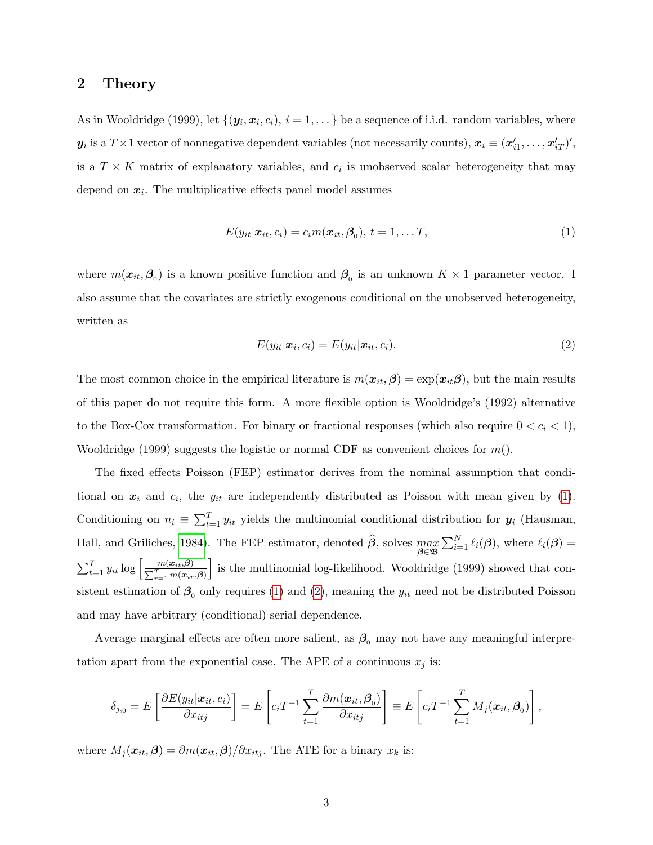#### 2 Theory

As in Wooldridge (1999), let  $\{(\bm{y}_i, \bm{x}_i, c_i), i = 1, \dots\}$  be a sequence of i.i.d. random variables, where  $\bm{y}_i$  is a  $T \times 1$  vector of nonnegative dependent variables (not necessarily counts),  $\bm{x}_i \equiv (\bm{x}'_{i1}, \dots, \bm{x}'_{iT})'$ , is a  $T \times K$  matrix of explanatory variables, and  $c_i$  is unobserved scalar heterogeneity that may depend on  $x_i$ . The multiplicative effects panel model assumes

<span id="page-3-0"></span>
$$
E(y_{it}|\boldsymbol{x}_{it},c_i) = c_i m(\boldsymbol{x}_{it},\boldsymbol{\beta}_0), t = 1,\ldots T,
$$
\n(1)

where  $m(\mathbf{x}_{it}, \beta_0)$  is a known positive function and  $\beta_0$  is an unknown  $K \times 1$  parameter vector. I also assume that the covariates are strictly exogenous conditional on the unobserved heterogeneity, written as

<span id="page-3-1"></span>
$$
E(y_{it}|\boldsymbol{x}_i, c_i) = E(y_{it}|\boldsymbol{x}_{it}, c_i).
$$
\n
$$
(2)
$$

The most common choice in the empirical literature is  $m(\mathbf{x}_{it}, \boldsymbol{\beta}) = \exp(\mathbf{x}_{it} \boldsymbol{\beta})$ , but the main results of this paper do not require this form. A more flexible option is Wooldridge's (1992) alternative to the Box-Cox transformation. For binary or fractional responses (which also require  $0 < c_i < 1$ ), Wooldridge (1999) suggests the logistic or normal CDF as convenient choices for  $m()$ .

The fixed effects Poisson (FEP) estimator derives from the nominal assumption that conditional on  $x_i$  and  $c_i$ , the  $y_{it}$  are independently distributed as Poisson with mean given by [\(1\)](#page-3-0). Conditioning on  $n_i \equiv \sum_{t=1}^T y_{it}$  yields the multinomial conditional distribution for  $y_i$  (Hausman, Hall, and Griliches, [1984\)](#page-9-3). The FEP estimator, denoted  $\widehat{\beta}$ , solves  $\max_{\beta \in \mathfrak{B}} \sum_{i=1}^{N} \ell_i(\beta)$ , where  $\ell_i(\beta)$  =  $\sum_{t=1}^{T} y_{it} \log \left[ \frac{m(\boldsymbol{x}_{it}, \boldsymbol{\beta})}{\sum_{t=1}^{T} m(\boldsymbol{x}_{it})} \right]$  $\sum_{r=1}^T m(\boldsymbol{x}_{ir},\!\boldsymbol{\beta})$ I is the multinomial log-likelihood. Wooldridge (1999) showed that consistent estimation of  $\beta_0$  only requires [\(1\)](#page-3-0) and [\(2\)](#page-3-1), meaning the  $y_{it}$  need not be distributed Poisson and may have arbitrary (conditional) serial dependence.

Average marginal effects are often more salient, as  $\beta_0$  may not have any meaningful interpretation apart from the exponential case. The APE of a continuous  $x_j$  is:

$$
\delta_{j,0} = E\left[\frac{\partial E(y_{it}|\boldsymbol{x}_{it},c_i)}{\partial x_{itj}}\right] = E\left[c_i T^{-1} \sum_{t=1}^T \frac{\partial m(\boldsymbol{x}_{it},\boldsymbol{\beta}_0)}{\partial x_{itj}}\right] \equiv E\left[c_i T^{-1} \sum_{t=1}^T M_j(\boldsymbol{x}_{it},\boldsymbol{\beta}_0)\right],
$$

where  $M_j(\mathbf{x}_{it}, \boldsymbol{\beta}) = \partial m(\mathbf{x}_{it}, \boldsymbol{\beta}) / \partial x_{itj}$ . The ATE for a binary  $x_k$  is: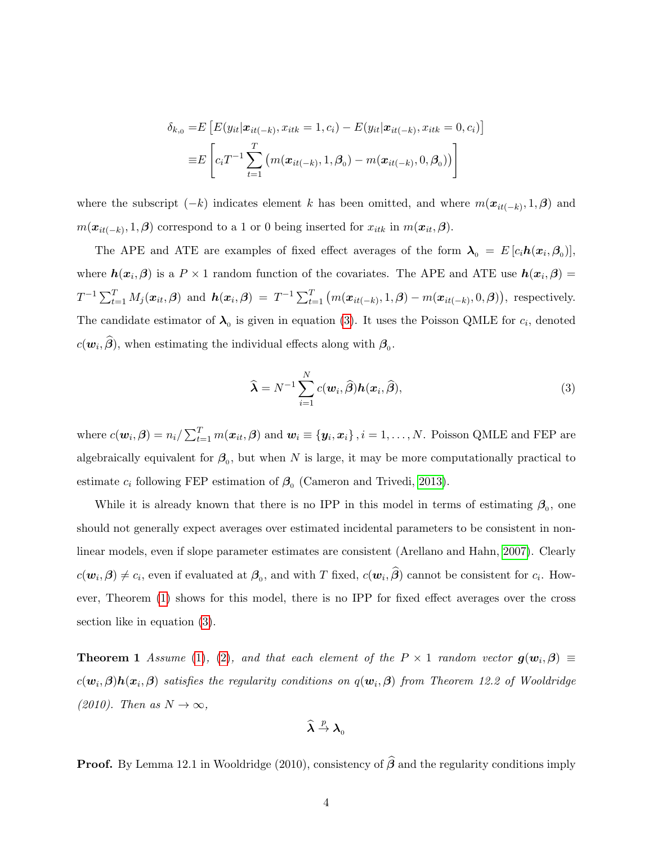$$
\delta_{k,0} = E\left[E(y_{it}|\mathbf{x}_{it(-k)}, x_{itk} = 1, c_i) - E(y_{it}|\mathbf{x}_{it(-k)}, x_{itk} = 0, c_i)\right]
$$

$$
\equiv E\left[c_i T^{-1} \sum_{t=1}^T \left(m(\mathbf{x}_{it(-k)}, 1, \beta_0) - m(\mathbf{x}_{it(-k)}, 0, \beta_0)\right)\right]
$$

where the subscript  $(-k)$  indicates element k has been omitted, and where  $m(\mathbf{x}_{it(-k)}, 1, \beta)$  and  $m(\boldsymbol{x}_{it(-k)}, 1, \boldsymbol{\beta})$  correspond to a 1 or 0 being inserted for  $x_{itk}$  in  $m(\boldsymbol{x}_{it}, \boldsymbol{\beta})$ .

The APE and ATE are examples of fixed effect averages of the form  $\lambda_0 = E[c_i \mathbf{h}(x_i, \beta_0)],$ where  $h(x_i, \beta)$  is a  $P \times 1$  random function of the covariates. The APE and ATE use  $h(x_i, \beta) =$  $T^{-1}\sum_{t=1}^T M_j(\boldsymbol{x}_{it}, \boldsymbol{\beta})$  and  $\boldsymbol{h}(\boldsymbol{x}_i, \boldsymbol{\beta}) = T^{-1}\sum_{t=1}^T (m(\boldsymbol{x}_{it(-k)}, 1, \boldsymbol{\beta}) - m(\boldsymbol{x}_{it(-k)}, 0, \boldsymbol{\beta})),$  respectively. The candidate estimator of  $\lambda_0$  is given in equation [\(3\)](#page-4-0). It uses the Poisson QMLE for  $c_i$ , denoted  $c(\mathbf{w}_i, \boldsymbol{\beta})$ , when estimating the individual effects along with  $\beta_0$ .

<span id="page-4-0"></span>
$$
\widehat{\boldsymbol{\lambda}} = N^{-1} \sum_{i=1}^{N} c(\boldsymbol{w}_i, \widehat{\boldsymbol{\beta}}) \boldsymbol{h}(\boldsymbol{x}_i, \widehat{\boldsymbol{\beta}}),
$$
\n(3)

where  $c(\boldsymbol{w}_i, \boldsymbol{\beta}) = n_i / \sum_{t=1}^T m(\boldsymbol{x}_{it}, \boldsymbol{\beta})$  and  $\boldsymbol{w}_i \equiv \{\boldsymbol{y}_i, \boldsymbol{x}_i\}$ ,  $i = 1, ..., N$ . Poisson QMLE and FEP are algebraically equivalent for  $\beta_0$ , but when N is large, it may be more computationally practical to estimate  $c_i$  following FEP estimation of  $\beta_0$  (Cameron and Trivedi, [2013\)](#page-9-4).

While it is already known that there is no IPP in this model in terms of estimating  $\beta_0$ , one should not generally expect averages over estimated incidental parameters to be consistent in nonlinear models, even if slope parameter estimates are consistent (Arellano and Hahn, [2007\)](#page-9-1). Clearly  $c(\bm{w}_i, \bm{\beta}) \neq c_i$ , even if evaluated at  $\bm{\beta}_0$ , and with T fixed,  $c(\bm{w}_i, \bm{\beta})$  cannot be consistent for  $c_i$ . However, Theorem [\(1\)](#page-4-1) shows for this model, there is no IPP for fixed effect averages over the cross section like in equation [\(3\)](#page-4-0).

<span id="page-4-1"></span>**Theorem 1** Assume [\(1\)](#page-3-0), [\(2\)](#page-3-1), and that each element of the  $P \times 1$  random vector  $g(w_i, \beta) \equiv$  $c(\bm{w}_i,\bm{\beta})\bm{h}(\bm{x}_i,\bm{\beta})$  satisfies the regularity conditions on  $q(\bm{w}_i,\bm{\beta})$  from Theorem 12.2 of Wooldridge (2010). Then as  $N \to \infty$ ,

$$
\widehat{\boldsymbol{\lambda}}\overset{p}{\rightarrow}\boldsymbol{\lambda}_0
$$

**Proof.** By Lemma 12.1 in Wooldridge (2010), consistency of  $\hat{\beta}$  and the regularity conditions imply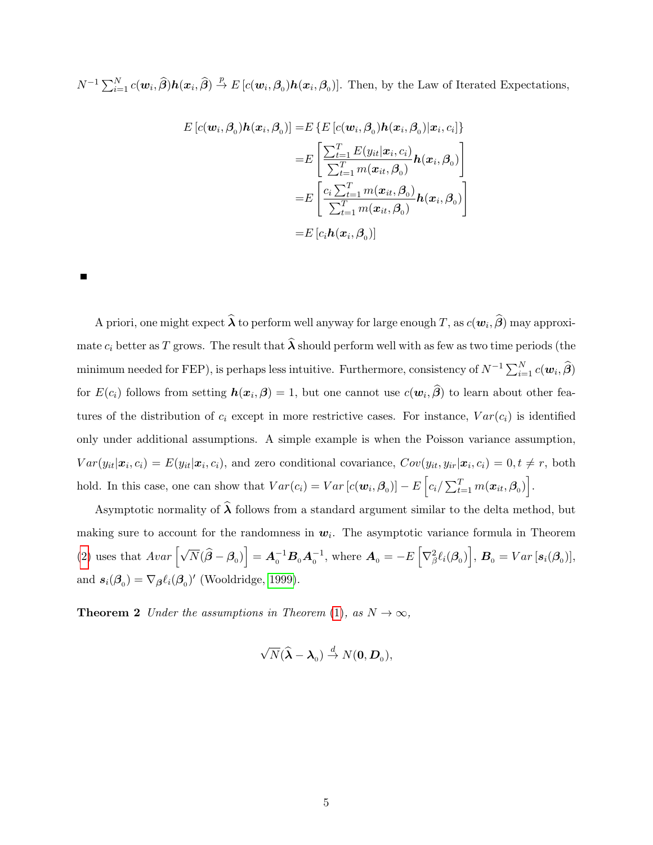$N^{-1}\sum_{i=1}^{N}c(\boldsymbol{w}_{i},\widehat{\boldsymbol{\beta}})\boldsymbol{h}(\boldsymbol{x}_{i},\widehat{\boldsymbol{\beta}})\stackrel{p}{\rightarrow}E\left[c(\boldsymbol{w}_{i},\boldsymbol{\beta}_{0})\boldsymbol{h}(\boldsymbol{x}_{i},\boldsymbol{\beta}_{0})\right]$ . Then, by the Law of Iterated Expectations,

$$
E\left[c(\mathbf{w}_i, \boldsymbol{\beta}_0)\mathbf{h}(\mathbf{x}_i, \boldsymbol{\beta}_0)\right] = E\left\{E\left[c(\mathbf{w}_i, \boldsymbol{\beta}_0)\mathbf{h}(\mathbf{x}_i, \boldsymbol{\beta}_0)|\mathbf{x}_i, c_i\right]\right\}
$$

$$
= E\left[\frac{\sum_{t=1}^T E(y_{it}|\mathbf{x}_i, c_i)}{\sum_{t=1}^T m(\mathbf{x}_{it}, \boldsymbol{\beta}_0)} \mathbf{h}(\mathbf{x}_i, \boldsymbol{\beta}_0)\right]
$$

$$
= E\left[\frac{c_i \sum_{t=1}^T m(\mathbf{x}_{it}, \boldsymbol{\beta}_0)}{\sum_{t=1}^T m(\mathbf{x}_{it}, \boldsymbol{\beta}_0)} \mathbf{h}(\mathbf{x}_i, \boldsymbol{\beta}_0)\right]
$$

$$
= E\left[c_i \mathbf{h}(\mathbf{x}_i, \boldsymbol{\beta}_0)\right]
$$

A priori, one might expect  $\bm{\lambda}$  to perform well anyway for large enough  $T,$  as  $c(\bm{w}_i, \bm{\beta})$  may approximate  $c_i$  better as T grows. The result that  $\widehat{\lambda}$  should perform well with as few as two time periods (the minimum needed for FEP), is perhaps less intuitive. Furthermore, consistency of  $N^{-1}\sum_{i=1}^N c(\bm{w}_i, \widehat{\bm{\beta}})$ for  $E(c_i)$  follows from setting  $h(x_i, \beta) = 1$ , but one cannot use  $c(w_i, \beta)$  to learn about other features of the distribution of  $c_i$  except in more restrictive cases. For instance,  $Var(c_i)$  is identified only under additional assumptions. A simple example is when the Poisson variance assumption,  $Var(y_{it}|\boldsymbol{x}_i, c_i) = E(y_{it}|\boldsymbol{x}_i, c_i)$ , and zero conditional covariance,  $Cov(y_{it}, y_{ir}|\boldsymbol{x}_i, c_i) = 0, t \neq r$ , both hold. In this case, one can show that  $Var(c_i) = Var[c(\boldsymbol{w}_i, \boldsymbol{\beta}_0)] - E\left[c_i / \sum_{t=1}^T m(\boldsymbol{x}_{it}, \boldsymbol{\beta}_0)\right]$ .

Asymptotic normality of  $\hat{\lambda}$  follows from a standard argument similar to the delta method, but making sure to account for the randomness in  $w_i$ . The asymptotic variance formula in Theorem [\(2\)](#page-5-0) uses that  $Avar\left[\sqrt{N}(\hat{\boldsymbol{\beta}}-\boldsymbol{\beta}_0)\right] = \boldsymbol{A}_0^{-1}\boldsymbol{B}_0\boldsymbol{A}_0^{-1}$ , where  $\boldsymbol{A}_0 = -E\left[\nabla^2_{\beta}\ell_i(\boldsymbol{\beta}_0)\right]$ ,  $\boldsymbol{B}_0 = Var\left[\boldsymbol{s}_i(\boldsymbol{\beta}_0)\right]$ , and  $s_i(\beta_0) = \nabla_\beta \ell_i(\beta_0)'$  (Wooldridge, [1999\)](#page-10-0).

**Theorem 2** Under the assumptions in Theorem [\(1\)](#page-4-1), as  $N \to \infty$ ,

<span id="page-5-0"></span>
$$
\sqrt{N}(\widehat{\boldsymbol{\lambda}}-\boldsymbol{\lambda}_0)\overset{d}{\rightarrow}N(\boldsymbol{0},\boldsymbol{D}_0),
$$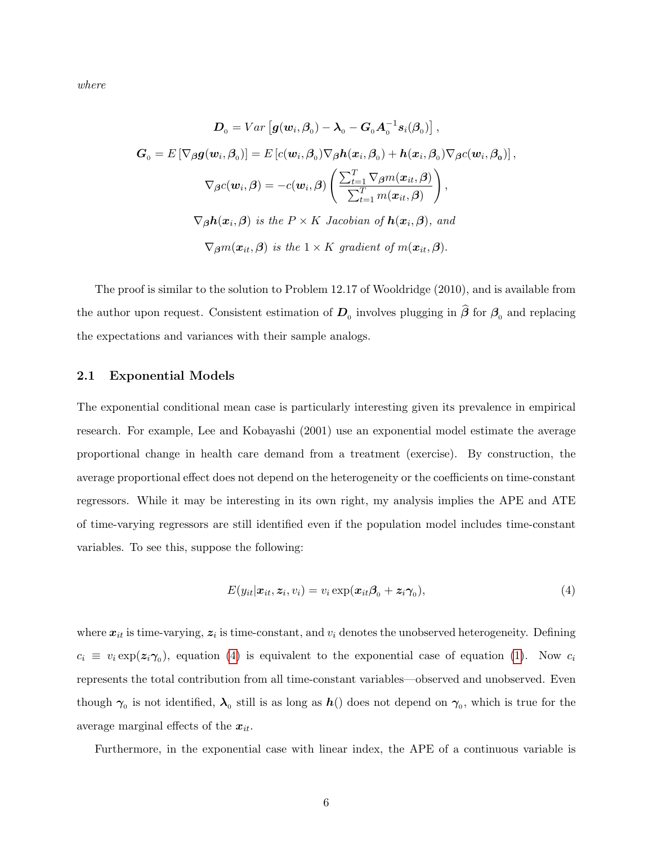where

$$
D_0 = Var\left[\mathbf{g}(\mathbf{w}_i, \beta_0) - \lambda_0 - \mathbf{G}_0 \mathbf{A}_0^{-1} \mathbf{s}_i(\beta_0)\right],
$$
  

$$
\mathbf{G}_0 = E\left[\nabla_{\beta} \mathbf{g}(\mathbf{w}_i, \beta_0)\right] = E\left[c(\mathbf{w}_i, \beta_0)\nabla_{\beta} h(\mathbf{x}_i, \beta_0) + h(\mathbf{x}_i, \beta_0)\nabla_{\beta} c(\mathbf{w}_i, \beta_0)\right],
$$
  

$$
\nabla_{\beta} c(\mathbf{w}_i, \beta) = -c(\mathbf{w}_i, \beta) \left(\frac{\sum_{t=1}^T \nabla_{\beta} m(\mathbf{x}_{it}, \beta)}{\sum_{t=1}^T m(\mathbf{x}_{it}, \beta)}\right),
$$
  

$$
\nabla_{\beta} h(\mathbf{x}_i, \beta) \text{ is the } P \times K \text{ Jacobian of } \mathbf{h}(\mathbf{x}_i, \beta), \text{ and}
$$
  

$$
\nabla_{\beta} m(\mathbf{x}_{it}, \beta) \text{ is the } 1 \times K \text{ gradient of } m(\mathbf{x}_{it}, \beta).
$$

The proof is similar to the solution to Problem 12.17 of Wooldridge (2010), and is available from the author upon request. Consistent estimation of  $D_0$  involves plugging in  $\beta$  for  $\beta_0$  and replacing the expectations and variances with their sample analogs.

#### 2.1 Exponential Models

The exponential conditional mean case is particularly interesting given its prevalence in empirical research. For example, Lee and Kobayashi (2001) use an exponential model estimate the average proportional change in health care demand from a treatment (exercise). By construction, the average proportional effect does not depend on the heterogeneity or the coefficients on time-constant regressors. While it may be interesting in its own right, my analysis implies the APE and ATE of time-varying regressors are still identified even if the population model includes time-constant variables. To see this, suppose the following:

<span id="page-6-0"></span>
$$
E(y_{it}|\boldsymbol{x}_{it},\boldsymbol{z}_{i},v_{i})=v_{i}\exp(\boldsymbol{x}_{it}\boldsymbol{\beta}_{0}+\boldsymbol{z}_{i}\boldsymbol{\gamma}_{0}),
$$
\n(4)

where  $x_{it}$  is time-varying,  $z_i$  is time-constant, and  $v_i$  denotes the unobserved heterogeneity. Defining  $c_i \equiv v_i \exp(\mathbf{z}_i \mathbf{\gamma}_0)$ , equation [\(4\)](#page-6-0) is equivalent to the exponential case of equation [\(1\)](#page-3-0). Now  $c_i$ represents the total contribution from all time-constant variables—observed and unobserved. Even though  $\gamma_0$  is not identified,  $\lambda_0$  still is as long as  $h()$  does not depend on  $\gamma_0$ , which is true for the average marginal effects of the  $x_{it}$ .

Furthermore, in the exponential case with linear index, the APE of a continuous variable is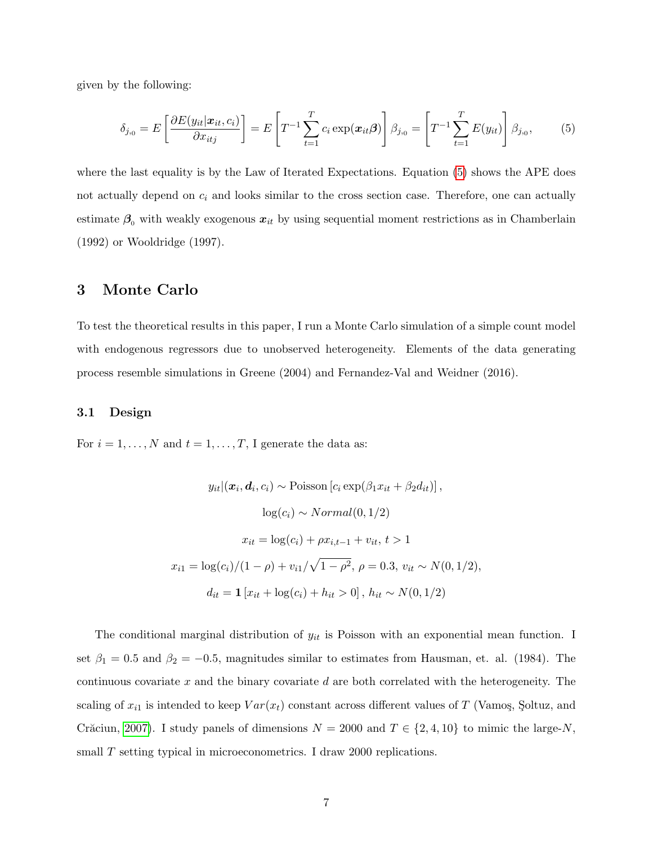given by the following:

<span id="page-7-0"></span>
$$
\delta_{j,0} = E\left[\frac{\partial E(y_{it}|\boldsymbol{x}_{it},c_i)}{\partial x_{itj}}\right] = E\left[T^{-1}\sum_{t=1}^T c_i \exp(\boldsymbol{x}_{it}\boldsymbol{\beta})\right]\beta_{j,0} = \left[T^{-1}\sum_{t=1}^T E(y_{it})\right]\beta_{j,0},\tag{5}
$$

where the last equality is by the Law of Iterated Expectations. Equation [\(5\)](#page-7-0) shows the APE does not actually depend on  $c_i$  and looks similar to the cross section case. Therefore, one can actually estimate  $\beta_0$  with weakly exogenous  $x_{it}$  by using sequential moment restrictions as in Chamberlain (1992) or Wooldridge (1997).

### 3 Monte Carlo

To test the theoretical results in this paper, I run a Monte Carlo simulation of a simple count model with endogenous regressors due to unobserved heterogeneity. Elements of the data generating process resemble simulations in Greene (2004) and Fernandez-Val and Weidner (2016).

#### 3.1 Design

For  $i = 1, ..., N$  and  $t = 1, ..., T$ , I generate the data as:

$$
y_{it} | (\boldsymbol{x}_i, \boldsymbol{d}_i, c_i) \sim \text{Poisson} [c_i \exp(\beta_1 x_{it} + \beta_2 d_{it})],
$$
  
\n
$$
\log(c_i) \sim Normal(0, 1/2)
$$
  
\n
$$
x_{it} = \log(c_i) + \rho x_{i, t-1} + v_{it}, t > 1
$$
  
\n
$$
x_{i1} = \log(c_i)/(1 - \rho) + v_{i1}/\sqrt{1 - \rho^2}, \rho = 0.3, v_{it} \sim N(0, 1/2),
$$
  
\n
$$
d_{it} = \mathbf{1} [x_{it} + \log(c_i) + h_{it} > 0], h_{it} \sim N(0, 1/2)
$$

The conditional marginal distribution of  $y_{it}$  is Poisson with an exponential mean function. I set  $\beta_1 = 0.5$  and  $\beta_2 = -0.5$ , magnitudes similar to estimates from Hausman, et. al. (1984). The continuous covariate x and the binary covariate  $d$  are both correlated with the heterogeneity. The scaling of  $x_{i1}$  is intended to keep  $Var(x_t)$  constant across different values of T (Vamoş, Şoltuz, and Crăciun, [2007\)](#page-9-5). I study panels of dimensions  $N = 2000$  and  $T \in \{2, 4, 10\}$  to mimic the large-N, small T setting typical in microeconometrics. I draw 2000 replications.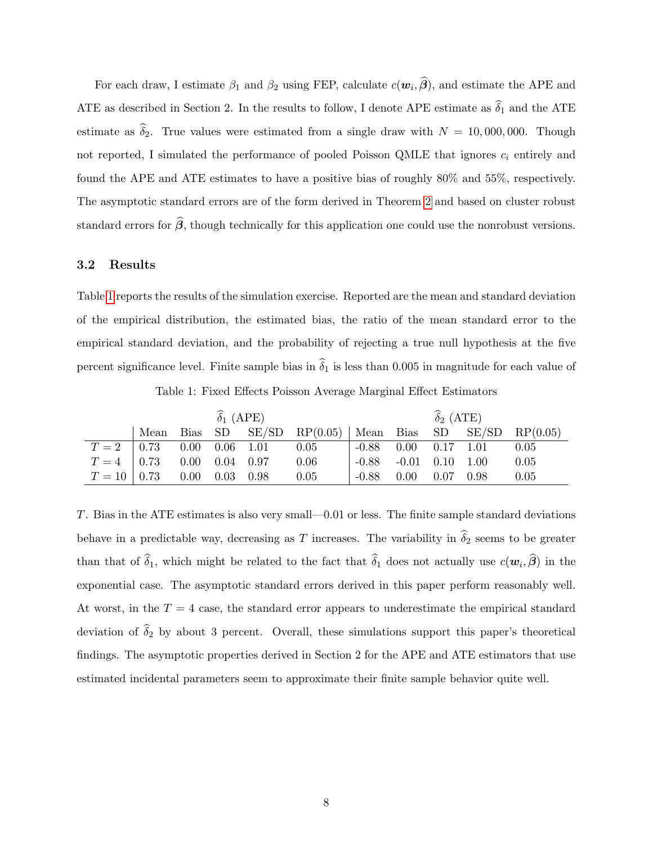For each draw, I estimate  $\beta_1$  and  $\beta_2$  using FEP, calculate  $c(\mathbf{w}_i, \boldsymbol{\beta})$ , and estimate the APE and ATE as described in Section 2. In the results to follow, I denote APE estimate as  $\hat{\delta}_1$  and the ATE estimate as  $\hat{\delta}_2$ . True values were estimated from a single draw with  $N = 10,000,000$ . Though not reported, I simulated the performance of pooled Poisson QMLE that ignores  $c_i$  entirely and found the APE and ATE estimates to have a positive bias of roughly 80% and 55%, respectively. The asymptotic standard errors are of the form derived in Theorem [2](#page-5-0) and based on cluster robust standard errors for  $\hat{\beta}$ , though technically for this application one could use the nonrobust versions.

#### 3.2 Results

Table [1](#page-8-0) reports the results of the simulation exercise. Reported are the mean and standard deviation of the empirical distribution, the estimated bias, the ratio of the mean standard error to the empirical standard deviation, and the probability of rejecting a true null hypothesis at the five percent significance level. Finite sample bias in  $\hat{\delta}_1$  is less than 0.005 in magnitude for each value of

Table 1: Fixed Effects Poisson Average Marginal Effect Estimators

<span id="page-8-0"></span>

|                                      | $\widehat{\delta}_1$ (APE) |  |  |                                    |                                                               | $\widehat{\delta}_2$ (ATE)    |  |  |                             |      |
|--------------------------------------|----------------------------|--|--|------------------------------------|---------------------------------------------------------------|-------------------------------|--|--|-----------------------------|------|
|                                      |                            |  |  |                                    | Mean Bias SD SE/SD RP $(0.05)$ Mean Bias SD SE/SD RP $(0.05)$ |                               |  |  |                             |      |
|                                      |                            |  |  | $T = 2$   0.73 0.00 0.06 1.01 0.05 |                                                               |                               |  |  | $-0.88$ 0.00 0.17 1.01 0.05 |      |
|                                      |                            |  |  | $T = 4$ 0.73 0.00 0.04 0.97        | 0.06                                                          | $-0.88$ $-0.01$ $0.10$ $1.00$ |  |  |                             | 0.05 |
| $T = 10   0.73   0.00   0.03   0.98$ |                            |  |  |                                    | 0.05                                                          |                               |  |  | $-0.88$ 0.00 0.07 0.98      | 0.05 |

T. Bias in the ATE estimates is also very small—0.01 or less. The finite sample standard deviations behave in a predictable way, decreasing as T increases. The variability in  $\hat{\delta}_2$  seems to be greater than that of  $\delta_1$ , which might be related to the fact that  $\delta_1$  does not actually use  $c(\mathbf{w}_i, \boldsymbol{\beta})$  in the exponential case. The asymptotic standard errors derived in this paper perform reasonably well. At worst, in the  $T = 4$  case, the standard error appears to underestimate the empirical standard deviation of  $\hat{\delta}_2$  by about 3 percent. Overall, these simulations support this paper's theoretical findings. The asymptotic properties derived in Section 2 for the APE and ATE estimators that use estimated incidental parameters seem to approximate their finite sample behavior quite well.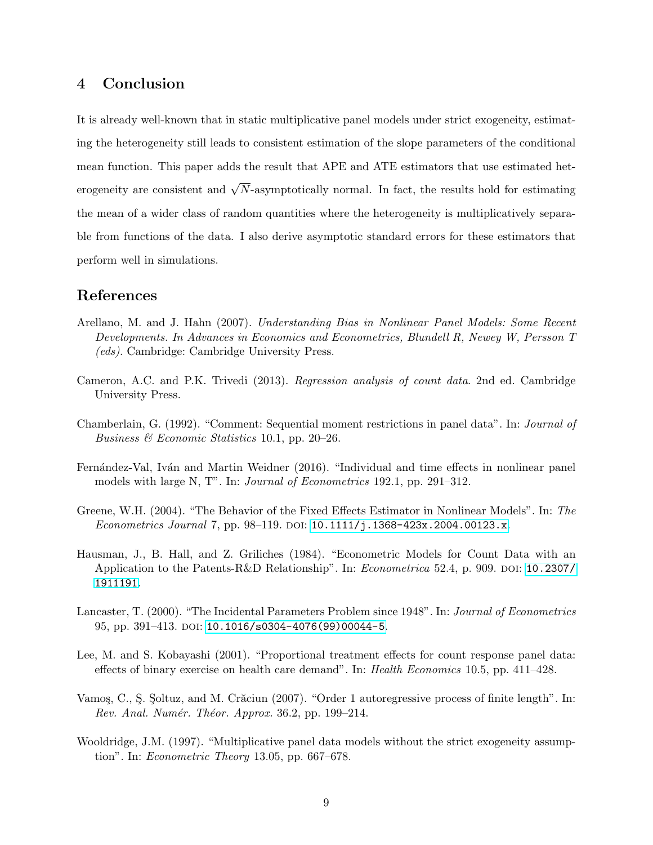# 4 Conclusion

It is already well-known that in static multiplicative panel models under strict exogeneity, estimating the heterogeneity still leads to consistent estimation of the slope parameters of the conditional mean function. This paper adds the result that APE and ATE estimators that use estimated heterogeneity are consistent and  $\sqrt{N}$ -asymptotically normal. In fact, the results hold for estimating the mean of a wider class of random quantities where the heterogeneity is multiplicatively separable from functions of the data. I also derive asymptotic standard errors for these estimators that perform well in simulations.

## References

- <span id="page-9-1"></span>Arellano, M. and J. Hahn (2007). Understanding Bias in Nonlinear Panel Models: Some Recent Developments. In Advances in Economics and Econometrics, Blundell R, Newey W, Persson T (eds). Cambridge: Cambridge University Press.
- <span id="page-9-4"></span>Cameron, A.C. and P.K. Trivedi (2013). Regression analysis of count data. 2nd ed. Cambridge University Press.
- Chamberlain, G. (1992). "Comment: Sequential moment restrictions in panel data". In: Journal of Business  $\mathcal C$  Economic Statistics 10.1, pp. 20–26.
- Fernández-Val, Iván and Martin Weidner (2016). "Individual and time effects in nonlinear panel models with large N, T". In: Journal of Econometrics 192.1, pp. 291–312.
- Greene, W.H. (2004). "The Behavior of the Fixed Effects Estimator in Nonlinear Models". In: The *Econometrics Journal 7*, pp. 98–119. DOI: [10.1111/j.1368-423x.2004.00123.x](https://doi.org/10.1111/j.1368-423x.2004.00123.x).
- <span id="page-9-3"></span>Hausman, J., B. Hall, and Z. Griliches (1984). "Econometric Models for Count Data with an Application to the Patents-R&D Relationship". In: *Econometrica* 52.4, p. 909. doi: [10.2307/](https://doi.org/10.2307/1911191) [1911191](https://doi.org/10.2307/1911191).
- <span id="page-9-0"></span>Lancaster, T. (2000). "The Incidental Parameters Problem since 1948". In: Journal of Econometrics 95, pp. 391-413. DOI: [10.1016/s0304-4076\(99\)00044-5](https://doi.org/10.1016/s0304-4076(99)00044-5).
- <span id="page-9-2"></span>Lee, M. and S. Kobayashi (2001). "Proportional treatment effects for count response panel data: effects of binary exercise on health care demand". In: Health Economics 10.5, pp. 411–428.
- <span id="page-9-5"></span>Vamos, C., S. Soltuz, and M. Crăciun (2007). "Order 1 autoregressive process of finite length". In:  $Rev.$  Anal. Numér. Théor. Approx. 36.2, pp. 199–214.
- Wooldridge, J.M. (1997). "Multiplicative panel data models without the strict exogeneity assumption". In: Econometric Theory 13.05, pp. 667–678.